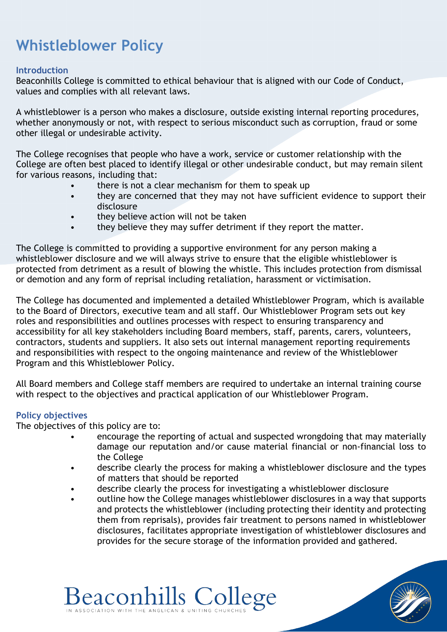# **Whistleblower Policy**

## **Introduction**

Beaconhills College is committed to ethical behaviour that is aligned with our Code of Conduct, values and complies with all relevant laws.

A whistleblower is a person who makes a disclosure, outside existing internal reporting procedures, whether anonymously or not, with respect to serious misconduct such as corruption, fraud or some other illegal or undesirable activity.

The College recognises that people who have a work, service or customer relationship with the College are often best placed to identify illegal or other undesirable conduct, but may remain silent for various reasons, including that:

- there is not a clear mechanism for them to speak up
- they are concerned that they may not have sufficient evidence to support their disclosure
- they believe action will not be taken
- they believe they may suffer detriment if they report the matter.

The College is committed to providing a supportive environment for any person making a whistleblower disclosure and we will always strive to ensure that the eligible whistleblower is protected from detriment as a result of blowing the whistle. This includes protection from dismissal or demotion and any form of reprisal including retaliation, harassment or victimisation.

The College has documented and implemented a detailed Whistleblower Program, which is available to the Board of Directors, executive team and all staff. Our Whistleblower Program sets out key roles and responsibilities and outlines processes with respect to ensuring transparency and accessibility for all key stakeholders including Board members, staff, parents, carers, volunteers, contractors, students and suppliers. It also sets out internal management reporting requirements and responsibilities with respect to the ongoing maintenance and review of the Whistleblower Program and this Whistleblower Policy.

All Board members and College staff members are required to undertake an internal training course with respect to the objectives and practical application of our Whistleblower Program.

# **Policy objectives**

The objectives of this policy are to:

- encourage the reporting of actual and suspected wrongdoing that may materially damage our reputation and/or cause material financial or non-financial loss to the College
- describe clearly the process for making a whistleblower disclosure and the types of matters that should be reported
- describe clearly the process for investigating a whistleblower disclosure

**Beaconhills College** 

• outline how the College manages whistleblower disclosures in a way that supports and protects the whistleblower (including protecting their identity and protecting them from reprisals), provides fair treatment to persons named in whistleblower disclosures, facilitates appropriate investigation of whistleblower disclosures and provides for the secure storage of the information provided and gathered.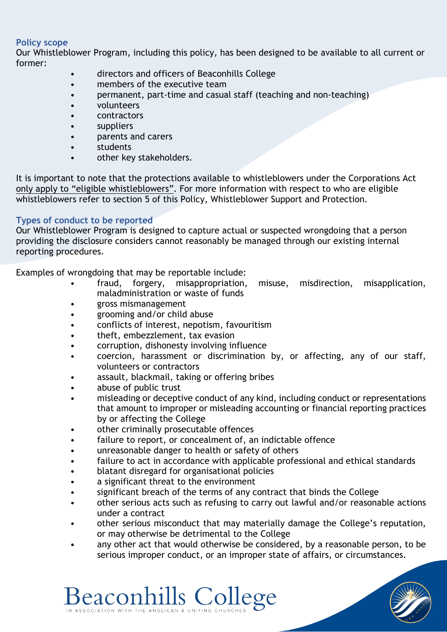## **Policy scope**

Our Whistleblower Program, including this policy, has been designed to be available to all current or former:

- directors and officers of Beaconhills College
- members of the executive team
- permanent, part-time and casual staff (teaching and non-teaching)
- volunteers
- contractors
- suppliers
- parents and carers
- students
- other key stakeholders.

It is important to note that the protections available to whistleblowers under the Corporations Act only apply to "eligible whistleblowers". For more information with respect to who are eligible whistleblowers refer to section 5 of this Policy, Whistleblower Support and Protection.

# **Types of conduct to be reported**

Our Whistleblower Program is designed to capture actual or suspected wrongdoing that a person providing the disclosure considers cannot reasonably be managed through our existing internal reporting procedures.

Examples of wrongdoing that may be reportable include:

- fraud, forgery, misappropriation, misuse, misdirection, misapplication, maladministration or waste of funds
- gross mismanagement
- grooming and/or child abuse
- conflicts of interest, nepotism, favouritism
- theft, embezzlement, tax evasion
- corruption, dishonesty involving influence
- coercion, harassment or discrimination by, or affecting, any of our staff, volunteers or contractors
- assault, blackmail, taking or offering bribes
- abuse of public trust
- misleading or deceptive conduct of any kind, including conduct or representations that amount to improper or misleading accounting or financial reporting practices by or affecting the College
- other criminally prosecutable offences
- failure to report, or concealment of, an indictable offence
- unreasonable danger to health or safety of others
- failure to act in accordance with applicable professional and ethical standards
- blatant disregard for organisational policies

**Beaconhills College** 

- a significant threat to the environment
- significant breach of the terms of any contract that binds the College
- other serious acts such as refusing to carry out lawful and/or reasonable actions under a contract
- other serious misconduct that may materially damage the College's reputation, or may otherwise be detrimental to the College
- any other act that would otherwise be considered, by a reasonable person, to be serious improper conduct, or an improper state of affairs, or circumstances.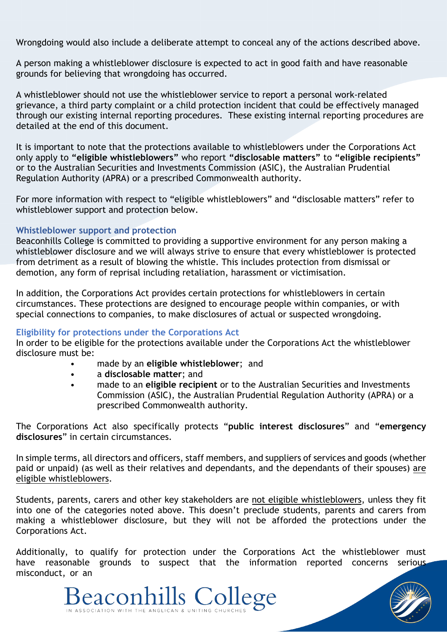Wrongdoing would also include a deliberate attempt to conceal any of the actions described above.

A person making a whistleblower disclosure is expected to act in good faith and have reasonable grounds for believing that wrongdoing has occurred.

A whistleblower should not use the whistleblower service to report a personal work-related grievance, a third party complaint or a child protection incident that could be effectively managed through our existing internal reporting procedures. These existing internal reporting procedures are detailed at the end of this document.

It is important to note that the protections available to whistleblowers under the Corporations Act only apply to **"eligible whistleblowers"** who report **"disclosable matters"** to **"eligible recipients"** or to the Australian Securities and Investments Commission (ASIC), the Australian Prudential Regulation Authority (APRA) or a prescribed Commonwealth authority.

For more information with respect to "eligible whistleblowers" and "disclosable matters" refer to whistleblower support and protection below.

## **Whistleblower support and protection**

Beaconhills College is committed to providing a supportive environment for any person making a whistleblower disclosure and we will always strive to ensure that every whistleblower is protected from detriment as a result of blowing the whistle. This includes protection from dismissal or demotion, any form of reprisal including retaliation, harassment or victimisation.

In addition, the Corporations Act provides certain protections for whistleblowers in certain circumstances. These protections are designed to encourage people within companies, or with special connections to companies, to make disclosures of actual or suspected wrongdoing.

#### **Eligibility for protections under the Corporations Act**

In order to be eligible for the protections available under the Corporations Act the whistleblower disclosure must be:

- made by an **eligible whistleblower**; and
- a **disclosable matter**; and

IN ASSOCIATION WITH THE ANGLICAN & UNITING CHURCH

• made to an **eligible recipient** or to the Australian Securities and Investments Commission (ASIC), the Australian Prudential Regulation Authority (APRA) or a prescribed Commonwealth authority.

The Corporations Act also specifically protects "**public interest disclosures**" and "**emergency disclosures**" in certain circumstances.

In simple terms, all directors and officers, staff members, and suppliers of services and goods (whether paid or unpaid) (as well as their relatives and dependants, and the dependants of their spouses) are eligible whistleblowers.

Students, parents, carers and other key stakeholders are not eligible whistleblowers, unless they fit into one of the categories noted above. This doesn't preclude students, parents and carers from making a whistleblower disclosure, but they will not be afforded the protections under the Corporations Act.

Additionally, to qualify for protection under the Corporations Act the whistleblower must have reasonable grounds to suspect that the information reported concerns serious misconduct, or an

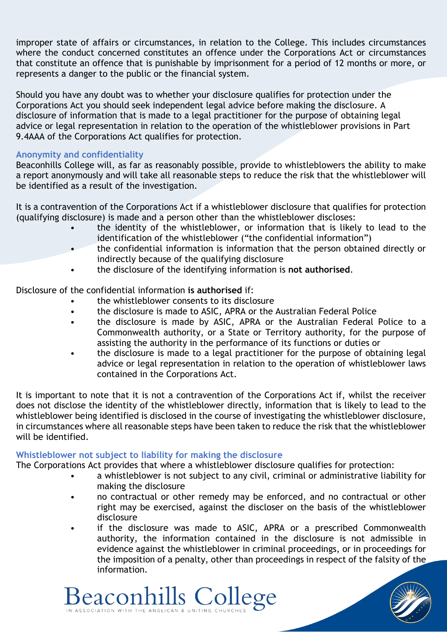improper state of affairs or circumstances, in relation to the College. This includes circumstances where the conduct concerned constitutes an offence under the Corporations Act or circumstances that constitute an offence that is punishable by imprisonment for a period of 12 months or more, or represents a danger to the public or the financial system.

Should you have any doubt was to whether your disclosure qualifies for protection under the Corporations Act you should seek independent legal advice before making the disclosure. A disclosure of information that is made to a legal practitioner for the purpose of obtaining legal advice or legal representation in relation to the operation of the whistleblower provisions in Part 9.4AAA of the Corporations Act qualifies for protection.

## **Anonymity and confidentiality**

Beaconhills College will, as far as reasonably possible, provide to whistleblowers the ability to make a report anonymously and will take all reasonable steps to reduce the risk that the whistleblower will be identified as a result of the investigation.

It is a contravention of the Corporations Act if a whistleblower disclosure that qualifies for protection (qualifying disclosure) is made and a person other than the whistleblower discloses:

- the identity of the whistleblower, or information that is likely to lead to the identification of the whistleblower ("the confidential information")
- the confidential information is information that the person obtained directly or indirectly because of the qualifying disclosure
- the disclosure of the identifying information is **not authorised**.

Disclosure of the confidential information **is authorised** if:

- the whistleblower consents to its disclosure
- the disclosure is made to ASIC, APRA or the Australian Federal Police
- the disclosure is made by ASIC, APRA or the Australian Federal Police to a Commonwealth authority, or a State or Territory authority, for the purpose of assisting the authority in the performance of its functions or duties or
- the disclosure is made to a legal practitioner for the purpose of obtaining legal advice or legal representation in relation to the operation of whistleblower laws contained in the Corporations Act.

It is important to note that it is not a contravention of the Corporations Act if, whilst the receiver does not disclose the identity of the whistleblower directly, information that is likely to lead to the whistleblower being identified is disclosed in the course of investigating the whistleblower disclosure, in circumstances where all reasonable steps have been taken to reduce the risk that the whistleblower will be identified.

# **Whistleblower not subject to liability for making the disclosure**

Beaconhills College

IN ASSOCIATION WITH THE ANGLICAN & UNITING CHURCH

The Corporations Act provides that where a whistleblower disclosure qualifies for protection:

- a whistleblower is not subject to any civil, criminal or administrative liability for making the disclosure
- no contractual or other remedy may be enforced, and no contractual or other right may be exercised, against the discloser on the basis of the whistleblower disclosure
- if the disclosure was made to ASIC, APRA or a prescribed Commonwealth authority, the information contained in the disclosure is not admissible in evidence against the whistleblower in criminal proceedings, or in proceedings for the imposition of a penalty, other than proceedings in respect of the falsity of the information.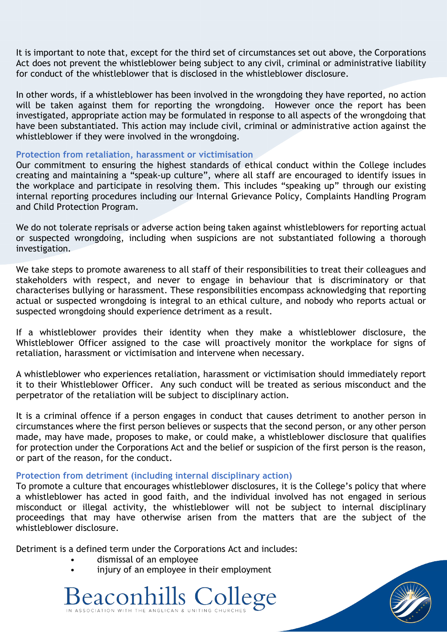It is important to note that, except for the third set of circumstances set out above, the Corporations Act does not prevent the whistleblower being subject to any civil, criminal or administrative liability for conduct of the whistleblower that is disclosed in the whistleblower disclosure.

In other words, if a whistleblower has been involved in the wrongdoing they have reported, no action will be taken against them for reporting the wrongdoing. However once the report has been investigated, appropriate action may be formulated in response to all aspects of the wrongdoing that have been substantiated. This action may include civil, criminal or administrative action against the whistleblower if they were involved in the wrongdoing.

#### **Protection from retaliation, harassment or victimisation**

Our commitment to ensuring the highest standards of ethical conduct within the College includes creating and maintaining a "speak-up culture", where all staff are encouraged to identify issues in the workplace and participate in resolving them. This includes "speaking up" through our existing internal reporting procedures including our Internal Grievance Policy, Complaints Handling Program and Child Protection Program.

We do not tolerate reprisals or adverse action being taken against whistleblowers for reporting actual or suspected wrongdoing, including when suspicions are not substantiated following a thorough investigation.

We take steps to promote awareness to all staff of their responsibilities to treat their colleagues and stakeholders with respect, and never to engage in behaviour that is discriminatory or that characterises bullying or harassment. These responsibilities encompass acknowledging that reporting actual or suspected wrongdoing is integral to an ethical culture, and nobody who reports actual or suspected wrongdoing should experience detriment as a result.

If a whistleblower provides their identity when they make a whistleblower disclosure, the Whistleblower Officer assigned to the case will proactively monitor the workplace for signs of retaliation, harassment or victimisation and intervene when necessary.

A whistleblower who experiences retaliation, harassment or victimisation should immediately report it to their Whistleblower Officer. Any such conduct will be treated as serious misconduct and the perpetrator of the retaliation will be subject to disciplinary action.

It is a criminal offence if a person engages in conduct that causes detriment to another person in circumstances where the first person believes or suspects that the second person, or any other person made, may have made, proposes to make, or could make, a whistleblower disclosure that qualifies for protection under the Corporations Act and the belief or suspicion of the first person is the reason, or part of the reason, for the conduct.

#### **Protection from detriment (including internal disciplinary action)**

To promote a culture that encourages whistleblower disclosures, it is the College's policy that where a whistleblower has acted in good faith, and the individual involved has not engaged in serious misconduct or illegal activity, the whistleblower will not be subject to internal disciplinary proceedings that may have otherwise arisen from the matters that are the subject of the whistleblower disclosure.

Detriment is a defined term under the Corporations Act and includes:

- dismissal of an employee
- injury of an employee in their employment



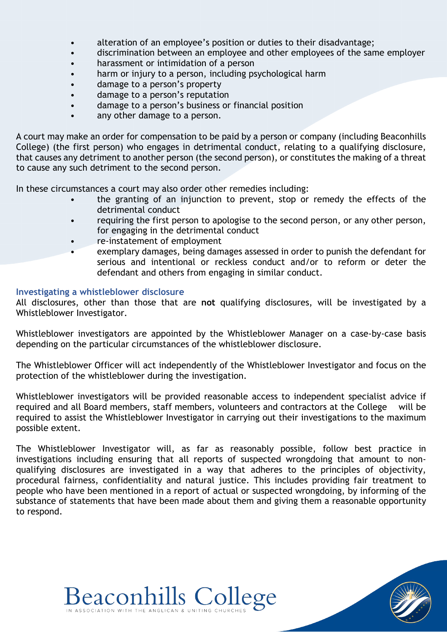- alteration of an employee's position or duties to their disadvantage;
- discrimination between an employee and other employees of the same employer
- harassment or intimidation of a person
- harm or injury to a person, including psychological harm
- damage to a person's property
- damage to a person's reputation
- damage to a person's business or financial position
- any other damage to a person.

A court may make an order for compensation to be paid by a person or company (including Beaconhills College) (the first person) who engages in detrimental conduct, relating to a qualifying disclosure, that causes any detriment to another person (the second person), or constitutes the making of a threat to cause any such detriment to the second person.

In these circumstances a court may also order other remedies including:

- the granting of an injunction to prevent, stop or remedy the effects of the detrimental conduct
- requiring the first person to apologise to the second person, or any other person, for engaging in the detrimental conduct
- re-instatement of employment
- exemplary damages, being damages assessed in order to punish the defendant for serious and intentional or reckless conduct and/or to reform or deter the defendant and others from engaging in similar conduct.

## **Investigating a whistleblower disclosure**

All disclosures, other than those that are **not** qualifying disclosures, will be investigated by a Whistleblower Investigator.

Whistleblower investigators are appointed by the Whistleblower Manager on a case-by-case basis depending on the particular circumstances of the whistleblower disclosure.

The Whistleblower Officer will act independently of the Whistleblower Investigator and focus on the protection of the whistleblower during the investigation.

Whistleblower investigators will be provided reasonable access to independent specialist advice if required and all Board members, staff members, volunteers and contractors at the College will be required to assist the Whistleblower Investigator in carrying out their investigations to the maximum possible extent.

The Whistleblower Investigator will, as far as reasonably possible, follow best practice in investigations including ensuring that all reports of suspected wrongdoing that amount to nonqualifying disclosures are investigated in a way that adheres to the principles of objectivity, procedural fairness, confidentiality and natural justice. This includes providing fair treatment to people who have been mentioned in a report of actual or suspected wrongdoing, by informing of the substance of statements that have been made about them and giving them a reasonable opportunity to respond.

**Beaconhills College**